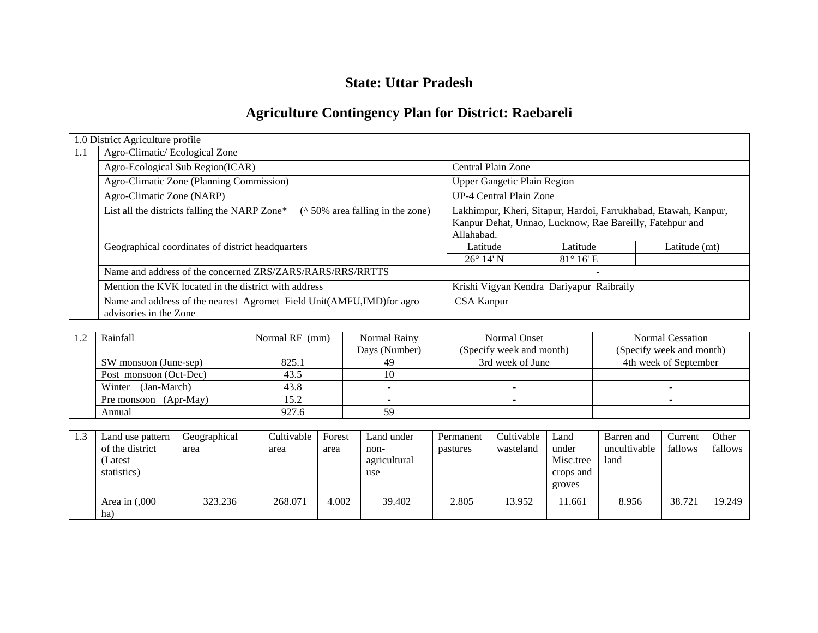# **State: Uttar Pradesh**

# **Agriculture Contingency Plan for District: Raebareli**

|     | 1.0 District Agriculture profile                                                               |                                    |                                                                 |               |
|-----|------------------------------------------------------------------------------------------------|------------------------------------|-----------------------------------------------------------------|---------------|
| 1.1 | Agro-Climatic/Ecological Zone                                                                  |                                    |                                                                 |               |
|     | Agro-Ecological Sub Region(ICAR)                                                               | Central Plain Zone                 |                                                                 |               |
|     | Agro-Climatic Zone (Planning Commission)                                                       | <b>Upper Gangetic Plain Region</b> |                                                                 |               |
|     | Agro-Climatic Zone (NARP)                                                                      | UP-4 Central Plain Zone            |                                                                 |               |
|     | List all the districts falling the NARP Zone*<br>( $\land$ 50% area falling in the zone)       |                                    | Lakhimpur, Kheri, Sitapur, Hardoi, Farrukhabad, Etawah, Kanpur, |               |
|     |                                                                                                |                                    | Kanpur Dehat, Unnao, Lucknow, Rae Bareilly, Fatehpur and        |               |
|     |                                                                                                | Allahabad.                         |                                                                 |               |
|     | Geographical coordinates of district headquarters                                              | Latitude                           | Latitude                                                        | Latitude (mt) |
|     |                                                                                                | $26^{\circ}$ 14' N                 | $81^\circ 16$ <sup>'</sup> E                                    |               |
|     | Name and address of the concerned ZRS/ZARS/RARS/RRS/RRTTS                                      |                                    | $\overline{\phantom{0}}$                                        |               |
|     | Mention the KVK located in the district with address                                           |                                    | Krishi Vigyan Kendra Dariyapur Raibraily                        |               |
|     | Name and address of the nearest Agromet Field Unit(AMFU,IMD)for agro<br>advisories in the Zone | <b>CSA Kanpur</b>                  |                                                                 |               |

| Rainfall               | Normal RF (mm) | Normal Rainy  | <b>Normal Onset</b>      | Normal Cessation         |
|------------------------|----------------|---------------|--------------------------|--------------------------|
|                        |                | Days (Number) | (Specify week and month) | (Specify week and month) |
| SW monsoon (June-sep)  | 825.1          | 49            | 3rd week of June         | 4th week of September    |
| Post monsoon (Oct-Dec) | 43.5           | 10            |                          |                          |
| (Jan-March)<br>Winter  | 43.8           |               |                          |                          |
| Pre monsoon (Apr-May)  | 15.2           |               |                          |                          |
| Annual                 | 927.6          | 59            |                          |                          |

| 1.3 | Land use pattern<br>of the district<br>(Latest<br>statistics) | Geographical<br>area | Cultivable<br>area | Forest<br>area | Land under<br>non-<br>agricultural<br>use | Permanent<br>pastures | Cultivable<br>wasteland | Land<br>under<br>Misc.tree<br>crops and<br>groves | Barren and<br>uncultivable<br>land | Current<br>fallows | Other<br>fallows |
|-----|---------------------------------------------------------------|----------------------|--------------------|----------------|-------------------------------------------|-----------------------|-------------------------|---------------------------------------------------|------------------------------------|--------------------|------------------|
|     | Area in $(0.000)$<br>ha)                                      | 323.236              | 268.071            | 4.002          | 39.402                                    | 2.805                 | 13.952                  | 1.661                                             | 8.956                              | 38.721             | 19.249           |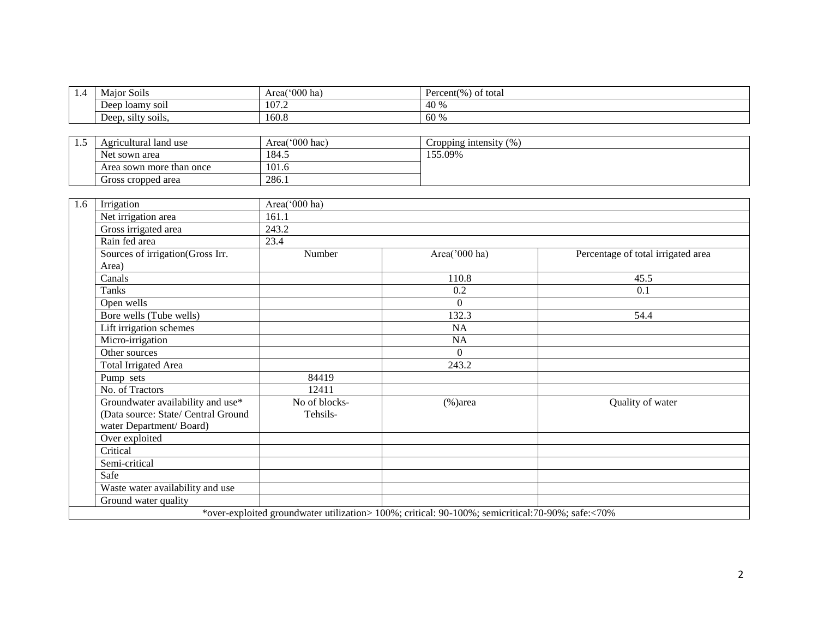| 1.4 | Major Soils                         | Area('000 ha)  | Percent(%) of total                                                                              |                                    |
|-----|-------------------------------------|----------------|--------------------------------------------------------------------------------------------------|------------------------------------|
|     | Deep loamy soil                     | 107.2          | 40 %                                                                                             |                                    |
|     | Deep, silty soils,                  | 160.8          | 60 %                                                                                             |                                    |
|     |                                     |                |                                                                                                  |                                    |
| 1.5 | Agricultural land use               | Area('000 hac) | Cropping intensity (%)                                                                           |                                    |
|     | Net sown area                       | 184.5          | 155.09%                                                                                          |                                    |
|     | Area sown more than once            | 101.6          |                                                                                                  |                                    |
|     | Gross cropped area                  | 286.1          |                                                                                                  |                                    |
|     |                                     |                |                                                                                                  |                                    |
| 1.6 | Irrigation                          | Area('000 ha)  |                                                                                                  |                                    |
|     | Net irrigation area                 | 161.1          |                                                                                                  |                                    |
|     | Gross irrigated area                | 243.2          |                                                                                                  |                                    |
|     | Rain fed area                       | 23.4           |                                                                                                  |                                    |
|     | Sources of irrigation(Gross Irr.    | Number         | Area('000 ha)                                                                                    | Percentage of total irrigated area |
|     | Area)                               |                |                                                                                                  |                                    |
|     | Canals                              |                | 110.8                                                                                            | 45.5                               |
|     | Tanks                               |                | 0.2                                                                                              | 0.1                                |
|     | Open wells                          |                | $\Omega$                                                                                         |                                    |
|     | Bore wells (Tube wells)             |                | 132.3                                                                                            | 54.4                               |
|     | Lift irrigation schemes             |                | NA                                                                                               |                                    |
|     | Micro-irrigation                    |                | <b>NA</b>                                                                                        |                                    |
|     | Other sources                       |                | $\overline{0}$                                                                                   |                                    |
|     | <b>Total Irrigated Area</b>         |                | 243.2                                                                                            |                                    |
|     | Pump sets                           | 84419          |                                                                                                  |                                    |
|     | No. of Tractors                     | 12411          |                                                                                                  |                                    |
|     | Groundwater availability and use*   | No of blocks-  | $(\% )$ area                                                                                     | Quality of water                   |
|     | (Data source: State/ Central Ground | Tehsils-       |                                                                                                  |                                    |
|     | water Department/Board)             |                |                                                                                                  |                                    |
|     | Over exploited                      |                |                                                                                                  |                                    |
|     | Critical                            |                |                                                                                                  |                                    |
|     | Semi-critical                       |                |                                                                                                  |                                    |
|     | Safe                                |                |                                                                                                  |                                    |
|     | Waste water availability and use    |                |                                                                                                  |                                    |
|     | Ground water quality                |                |                                                                                                  |                                    |
|     |                                     |                | *over-exploited groundwater utilization> 100%; critical: 90-100%; semicritical:70-90%; safe:<70% |                                    |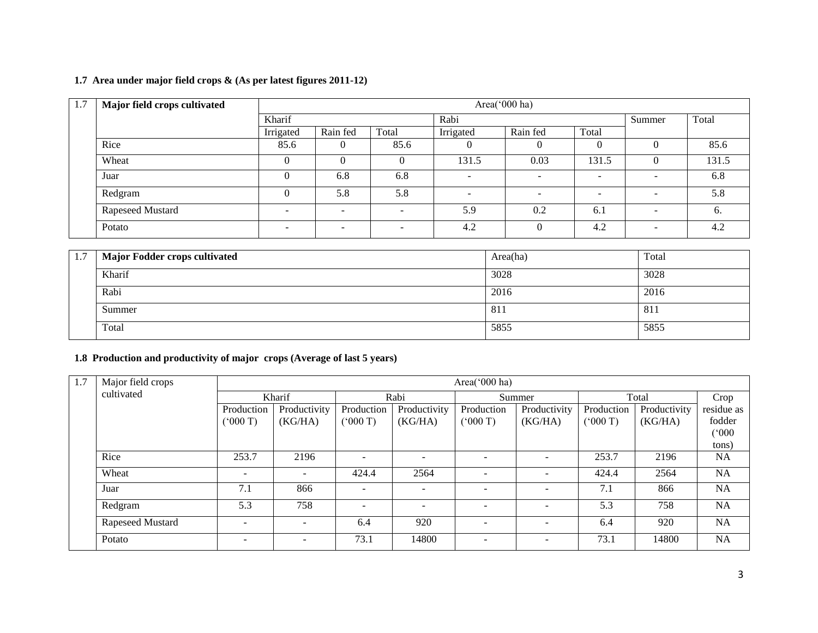### **1.7 Area under major field crops & (As per latest figures 2011-12)**

| 1.7 | Major field crops cultivated | Area(' $000$ ha)         |                          |                          |           |                          |                          |                          |       |
|-----|------------------------------|--------------------------|--------------------------|--------------------------|-----------|--------------------------|--------------------------|--------------------------|-------|
|     |                              | Kharif                   |                          |                          | Rabi      |                          |                          |                          | Total |
|     |                              | Irrigated                | Rain fed                 | Total                    | Irrigated | Rain fed                 | Total                    |                          |       |
|     | Rice                         | 85.6                     |                          | 85.6                     | 0         | $\overline{0}$           | 0                        | U                        | 85.6  |
|     | Wheat                        |                          |                          |                          | 131.5     | 0.03                     | 131.5                    |                          | 131.5 |
|     | Juar                         | 0                        | 6.8                      | 6.8                      |           | $\overline{\phantom{0}}$ | $\overline{\phantom{a}}$ | $\overline{\phantom{a}}$ | 6.8   |
|     | Redgram                      |                          | 5.8                      | 5.8                      | -         | $\overline{\phantom{a}}$ | $\overline{\phantom{0}}$ | $\overline{\phantom{0}}$ | 5.8   |
|     | Rapeseed Mustard             |                          | $\overline{\phantom{0}}$ | $\overline{\phantom{a}}$ | 5.9       | 0.2                      | 6.1                      | $\overline{\phantom{0}}$ | 6.    |
|     | Potato                       | $\overline{\phantom{0}}$ | $\overline{\phantom{0}}$ | $\overline{\phantom{a}}$ | 4.2       | $\Omega$                 | 4.2                      | $\sim$                   | 4.2   |

| 1.7 | <b>Major Fodder crops cultivated</b> | Area(ha) | Total |
|-----|--------------------------------------|----------|-------|
|     | Kharif                               | 3028     | 3028  |
|     | Rabi                                 | 2016     | 2016  |
|     | Summer                               | 811      | 811   |
|     | Total                                | 5855     | 5855  |

#### **1.8 Production and productivity of major crops (Average of last 5 years)**

| 1.7 | Major field crops |                          |              |                          |                          | Area('000 ha)            |                          |            |              |            |
|-----|-------------------|--------------------------|--------------|--------------------------|--------------------------|--------------------------|--------------------------|------------|--------------|------------|
|     | cultivated        | Kharif                   |              |                          | Rabi                     |                          | Summer                   |            | Total        | Crop       |
|     |                   | Production               | Productivity | Production               | Productivity             | Production               | Productivity             | Production | Productivity | residue as |
|     |                   | (5000)                   | (KG/HA)      | (000 T)                  | (KG/HA)                  | (5000T)                  | (KG/HA)                  | (000T)     | (KG/HA)      | fodder     |
|     |                   |                          |              |                          |                          |                          |                          |            |              | (000)      |
|     |                   |                          |              |                          |                          |                          |                          |            |              | tons)      |
|     | Rice              | 253.7                    | 2196         | $\overline{\phantom{a}}$ |                          |                          |                          | 253.7      | 2196         | <b>NA</b>  |
|     | Wheat             | $\overline{\phantom{a}}$ |              | 424.4                    | 2564                     |                          | $\overline{\phantom{a}}$ | 424.4      | 2564         | NA         |
|     | Juar              | 7.1                      | 866          | $\overline{\phantom{a}}$ | $\overline{\phantom{a}}$ |                          | $\overline{\phantom{a}}$ | 7.1        | 866          | <b>NA</b>  |
|     | Redgram           | 5.3                      | 758          | $\overline{\phantom{a}}$ | -                        | $\overline{\phantom{0}}$ | $\overline{\phantom{a}}$ | 5.3        | 758          | <b>NA</b>  |
|     | Rapeseed Mustard  | $\overline{\phantom{0}}$ |              | 6.4                      | 920                      |                          | $\overline{\phantom{a}}$ | 6.4        | 920          | NA         |
|     | Potato            | $\overline{\phantom{0}}$ | $\sim$       | 73.1                     | 14800                    | $\overline{\phantom{0}}$ | $\overline{\phantom{a}}$ | 73.1       | 14800        | <b>NA</b>  |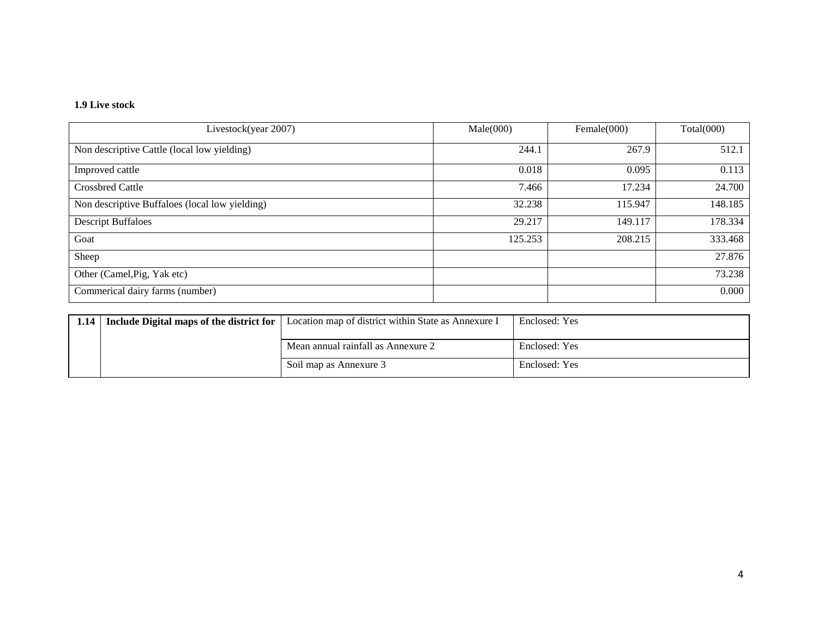#### **1.9 Live stock**

| Livestock(year 2007)                           | Male(000) | Female $(000)$ | Total(000) |
|------------------------------------------------|-----------|----------------|------------|
| Non descriptive Cattle (local low yielding)    | 244.1     | 267.9          | 512.1      |
| Improved cattle                                | 0.018     | 0.095          | 0.113      |
| <b>Crossbred Cattle</b>                        | 7.466     | 17.234         | 24.700     |
| Non descriptive Buffaloes (local low yielding) | 32.238    | 115.947        | 148.185    |
| <b>Descript Buffaloes</b>                      | 29.217    | 149.117        | 178.334    |
| Goat                                           | 125.253   | 208.215        | 333.468    |
| Sheep                                          |           |                | 27.876     |
| Other (Camel, Pig, Yak etc)                    |           |                | 73.238     |
| Commerical dairy farms (number)                |           |                | 0.000      |

| 1.14   Include Digital maps of the district for | Location map of district within State as Annexure I | Enclosed: Yes |
|-------------------------------------------------|-----------------------------------------------------|---------------|
|                                                 |                                                     |               |
|                                                 | Mean annual rainfall as Annexure 2                  | Enclosed: Yes |
|                                                 | Soil map as Annexure 3                              | Enclosed: Yes |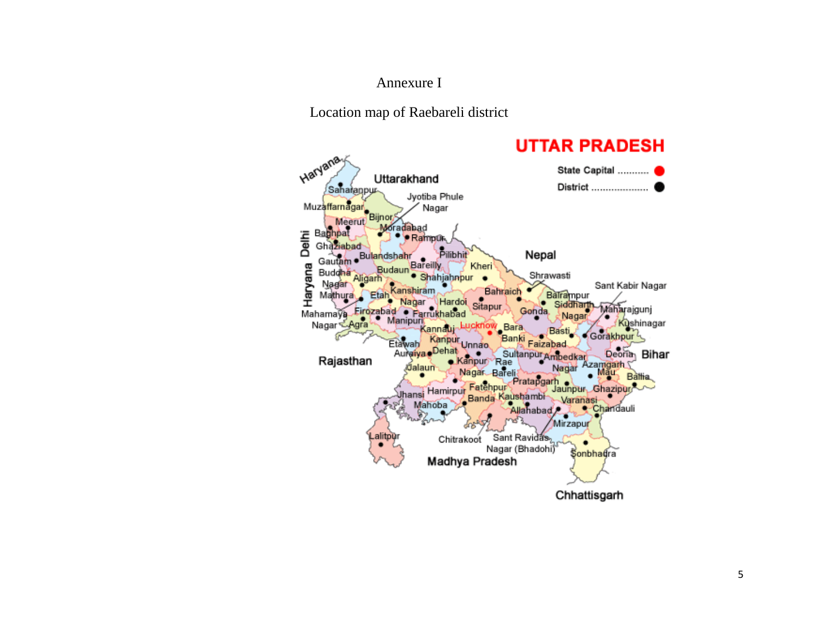## Annexure I

Location map of Raebareli district

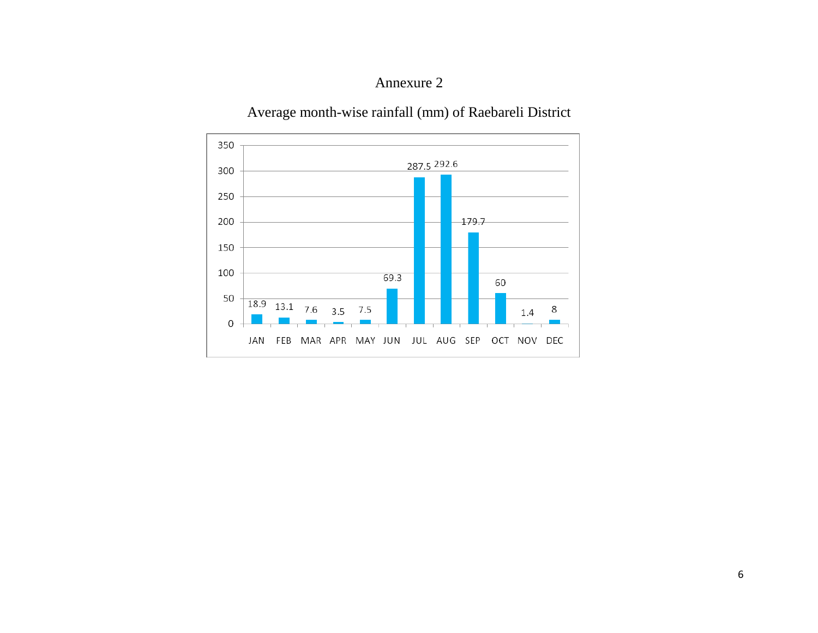# Annexure 2

Average month-wise rainfall (mm) of Raebareli District

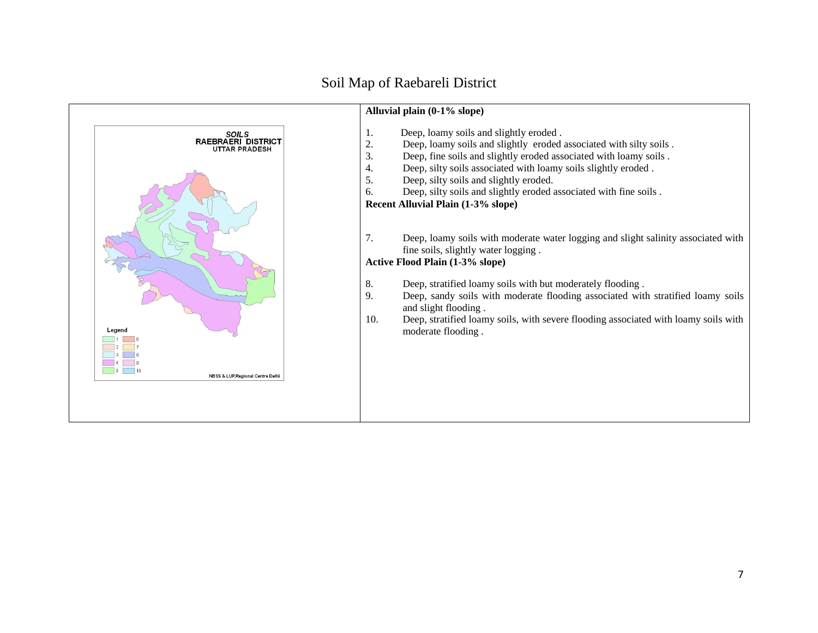# Soil Map of Raebareli District

|                                                                | Alluvial plain (0-1% slope)                                                                                                                                                                                                                                                                                                                                                                                                                                                                                                                                                                                                                                                                                                                                                           |
|----------------------------------------------------------------|---------------------------------------------------------------------------------------------------------------------------------------------------------------------------------------------------------------------------------------------------------------------------------------------------------------------------------------------------------------------------------------------------------------------------------------------------------------------------------------------------------------------------------------------------------------------------------------------------------------------------------------------------------------------------------------------------------------------------------------------------------------------------------------|
| SOILS<br>RAEBRAERI DISTRICT<br><b>UTTAR PRADESH</b>            | Deep, loamy soils and slightly eroded.<br>ī.<br>2.<br>Deep, loamy soils and slightly eroded associated with silty soils.<br>3.<br>Deep, fine soils and slightly eroded associated with loamy soils.<br>Deep, silty soils associated with loamy soils slightly eroded.<br>4.<br>5.<br>Deep, silty soils and slightly eroded.<br>Deep, silty soils and slightly eroded associated with fine soils.<br>6.<br>Recent Alluvial Plain (1-3% slope)<br>7.<br>Deep, loamy soils with moderate water logging and slight salinity associated with<br>fine soils, slightly water logging.<br><b>Active Flood Plain (1-3% slope)</b><br>8.<br>Deep, stratified loamy soils with but moderately flooding.<br>9.<br>Deep, sandy soils with moderate flooding associated with stratified loamy soils |
| Legend<br>$5-1$<br><b>NBSS &amp; LUP, Regional Centre Delh</b> | and slight flooding.<br>Deep, stratified loamy soils, with severe flooding associated with loamy soils with<br>10.<br>moderate flooding.                                                                                                                                                                                                                                                                                                                                                                                                                                                                                                                                                                                                                                              |
|                                                                |                                                                                                                                                                                                                                                                                                                                                                                                                                                                                                                                                                                                                                                                                                                                                                                       |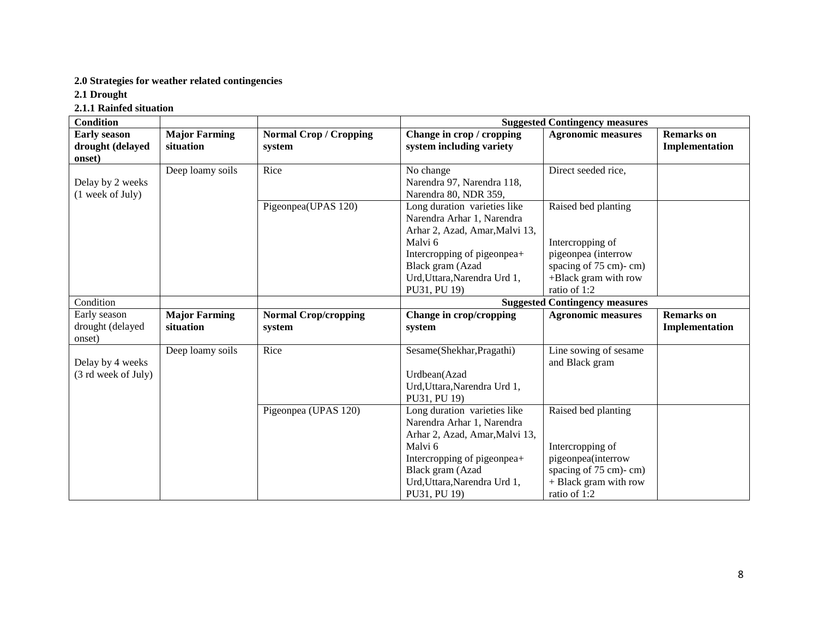#### **2.0 Strategies for weather related contingencies**

**2.1 Drought**

**2.1.1 Rainfed situation**

| <b>Condition</b>    |                      |                               | <b>Suggested Contingency measures</b> |                                       |                   |  |  |
|---------------------|----------------------|-------------------------------|---------------------------------------|---------------------------------------|-------------------|--|--|
| <b>Early season</b> | <b>Major Farming</b> | <b>Normal Crop / Cropping</b> | Change in crop / cropping             | <b>Agronomic measures</b>             | <b>Remarks</b> on |  |  |
| drought (delayed    | situation            | system                        | system including variety              |                                       | Implementation    |  |  |
| onset)              |                      |                               |                                       |                                       |                   |  |  |
|                     | Deep loamy soils     | Rice                          | No change                             | Direct seeded rice,                   |                   |  |  |
| Delay by 2 weeks    |                      |                               | Narendra 97, Narendra 118,            |                                       |                   |  |  |
| (1 week of July)    |                      |                               | Narendra 80, NDR 359,                 |                                       |                   |  |  |
|                     |                      | Pigeonpea(UPAS 120)           | Long duration varieties like          | Raised bed planting                   |                   |  |  |
|                     |                      |                               | Narendra Arhar 1, Narendra            |                                       |                   |  |  |
|                     |                      |                               | Arhar 2, Azad, Amar, Malvi 13,        |                                       |                   |  |  |
|                     |                      |                               | Malvi 6                               | Intercropping of                      |                   |  |  |
|                     |                      |                               | Intercropping of pigeonpea+           | pigeonpea (interrow                   |                   |  |  |
|                     |                      |                               | Black gram (Azad                      | spacing of 75 cm)-cm)                 |                   |  |  |
|                     |                      |                               | Urd, Uttara, Narendra Urd 1,          | +Black gram with row                  |                   |  |  |
|                     |                      |                               | PU31, PU 19)                          | ratio of 1:2                          |                   |  |  |
| Condition           |                      |                               |                                       | <b>Suggested Contingency measures</b> |                   |  |  |
| Early season        | <b>Major Farming</b> | <b>Normal Crop/cropping</b>   | Change in crop/cropping               | <b>Agronomic measures</b>             | <b>Remarks</b> on |  |  |
| drought (delayed    | situation            | system                        | system                                |                                       | Implementation    |  |  |
| onset)              |                      |                               |                                       |                                       |                   |  |  |
|                     | Deep loamy soils     | Rice                          | Sesame(Shekhar, Pragathi)             | Line sowing of sesame                 |                   |  |  |
| Delay by 4 weeks    |                      |                               |                                       | and Black gram                        |                   |  |  |
| (3 rd week of July) |                      |                               | Urdbean(Azad                          |                                       |                   |  |  |
|                     |                      |                               | Urd, Uttara, Narendra Urd 1,          |                                       |                   |  |  |
|                     |                      |                               | PU31, PU 19)                          |                                       |                   |  |  |
|                     |                      | Pigeonpea (UPAS 120)          | Long duration varieties like          | Raised bed planting                   |                   |  |  |
|                     |                      |                               | Narendra Arhar 1, Narendra            |                                       |                   |  |  |
|                     |                      |                               | Arhar 2, Azad, Amar, Malvi 13,        |                                       |                   |  |  |
|                     |                      |                               | Malvi 6                               | Intercropping of                      |                   |  |  |
|                     |                      |                               | Intercropping of pigeonpea+           | pigeonpea(interrow                    |                   |  |  |
|                     |                      |                               | Black gram (Azad                      | spacing of 75 cm)-cm)                 |                   |  |  |
|                     |                      |                               | Urd, Uttara, Narendra Urd 1,          | + Black gram with row                 |                   |  |  |
|                     |                      |                               | PU31, PU 19)                          | ratio of 1:2                          |                   |  |  |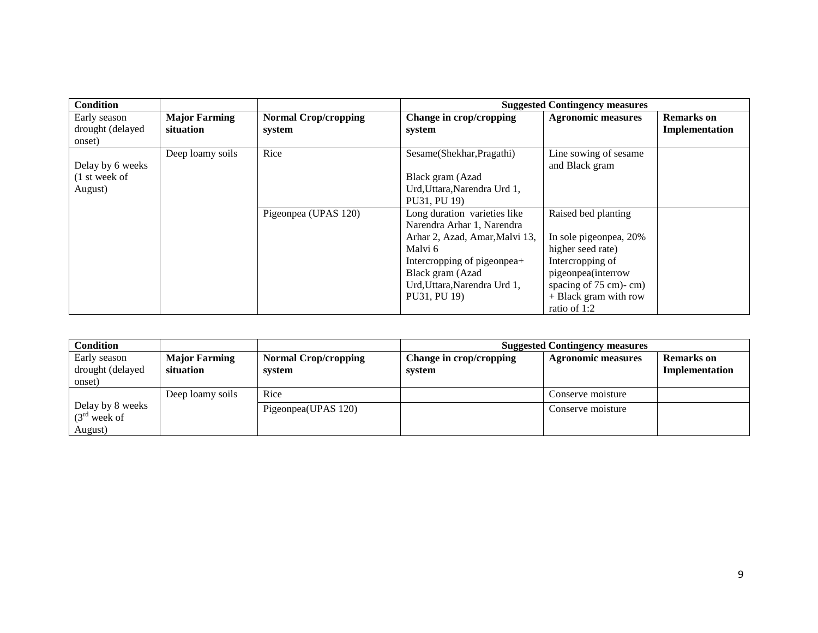| Condition        |                      |                             |                                | <b>Suggested Contingency measures</b> |                   |
|------------------|----------------------|-----------------------------|--------------------------------|---------------------------------------|-------------------|
| Early season     | <b>Major Farming</b> | <b>Normal Crop/cropping</b> | Change in crop/cropping        | <b>Agronomic measures</b>             | <b>Remarks</b> on |
| drought (delayed | situation            | system                      | system                         |                                       | Implementation    |
| onset)           |                      |                             |                                |                                       |                   |
|                  | Deep loamy soils     | Rice                        | Sesame(Shekhar, Pragathi)      | Line sowing of sesame                 |                   |
| Delay by 6 weeks |                      |                             |                                | and Black gram                        |                   |
| $(1$ st week of  |                      |                             | Black gram (Azad               |                                       |                   |
| August)          |                      |                             | Urd, Uttara, Narendra Urd 1,   |                                       |                   |
|                  |                      |                             | PU31, PU 19)                   |                                       |                   |
|                  |                      | Pigeonpea (UPAS 120)        | Long duration varieties like   | Raised bed planting                   |                   |
|                  |                      |                             | Narendra Arhar 1, Narendra     |                                       |                   |
|                  |                      |                             | Arhar 2, Azad, Amar, Malvi 13, | In sole pigeonpea, 20%                |                   |
|                  |                      |                             | Malvi 6                        | higher seed rate)                     |                   |
|                  |                      |                             | Intercropping of pigeonpea+    | Intercropping of                      |                   |
|                  |                      |                             | Black gram (Azad               | pigeonpea(interrow                    |                   |
|                  |                      |                             | Urd, Uttara, Narendra Urd 1,   | spacing of 75 cm)-cm)                 |                   |
|                  |                      |                             | PU31, PU 19)                   | + Black gram with row                 |                   |
|                  |                      |                             |                                | ratio of 1:2                          |                   |

| <b>Condition</b>                              |                      |                             | <b>Suggested Contingency measures</b> |                           |                   |
|-----------------------------------------------|----------------------|-----------------------------|---------------------------------------|---------------------------|-------------------|
| Early season                                  | <b>Major Farming</b> | <b>Normal Crop/cropping</b> | Change in crop/cropping               | <b>Agronomic measures</b> | <b>Remarks</b> on |
| drought (delayed                              | situation            | system                      | system                                |                           | Implementation    |
| onset)                                        |                      |                             |                                       |                           |                   |
|                                               | Deep loamy soils     | Rice                        |                                       | Conserve moisture         |                   |
| Delay by 8 weeks<br>$(3rd$ week of<br>August) |                      | Pigeonpea(UPAS 120)         |                                       | Conserve moisture         |                   |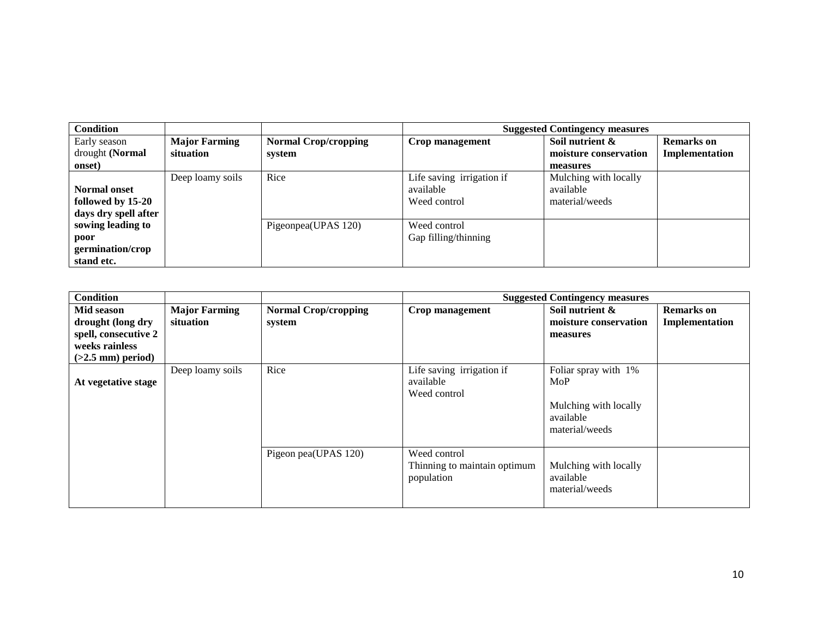| <b>Condition</b>     |                      |                             | <b>Suggested Contingency measures</b> |                       |                   |
|----------------------|----------------------|-----------------------------|---------------------------------------|-----------------------|-------------------|
| Early season         | <b>Major Farming</b> | <b>Normal Crop/cropping</b> | Crop management                       | Soil nutrient &       | <b>Remarks</b> on |
| drought (Normal      | situation            | system                      |                                       | moisture conservation | Implementation    |
| onset)               |                      |                             |                                       | measures              |                   |
|                      | Deep loamy soils     | Rice                        | Life saving irrigation if             | Mulching with locally |                   |
| <b>Normal onset</b>  |                      |                             | available                             | available             |                   |
| followed by 15-20    |                      |                             | Weed control                          | material/weeds        |                   |
| days dry spell after |                      |                             |                                       |                       |                   |
| sowing leading to    |                      | Pigeonpea(UPAS 120)         | Weed control                          |                       |                   |
| poor                 |                      |                             | Gap filling/thinning                  |                       |                   |
| germination/crop     |                      |                             |                                       |                       |                   |
| stand etc.           |                      |                             |                                       |                       |                   |

| <b>Condition</b>                                                                                 |                                   |                                       |                                                            | <b>Suggested Contingency measures</b>                                               |                                     |
|--------------------------------------------------------------------------------------------------|-----------------------------------|---------------------------------------|------------------------------------------------------------|-------------------------------------------------------------------------------------|-------------------------------------|
| Mid season<br>drought (long dry<br>spell, consecutive 2<br>weeks rainless<br>$(>2.5$ mm) period) | <b>Major Farming</b><br>situation | <b>Normal Crop/cropping</b><br>system | Crop management                                            | Soil nutrient &<br>moisture conservation<br>measures                                | <b>Remarks</b> on<br>Implementation |
| At vegetative stage                                                                              | Deep loamy soils                  | Rice                                  | Life saving irrigation if<br>available<br>Weed control     | Foliar spray with 1%<br>MoP<br>Mulching with locally<br>available<br>material/weeds |                                     |
|                                                                                                  |                                   | Pigeon pea(UPAS 120)                  | Weed control<br>Thinning to maintain optimum<br>population | Mulching with locally<br>available<br>material/weeds                                |                                     |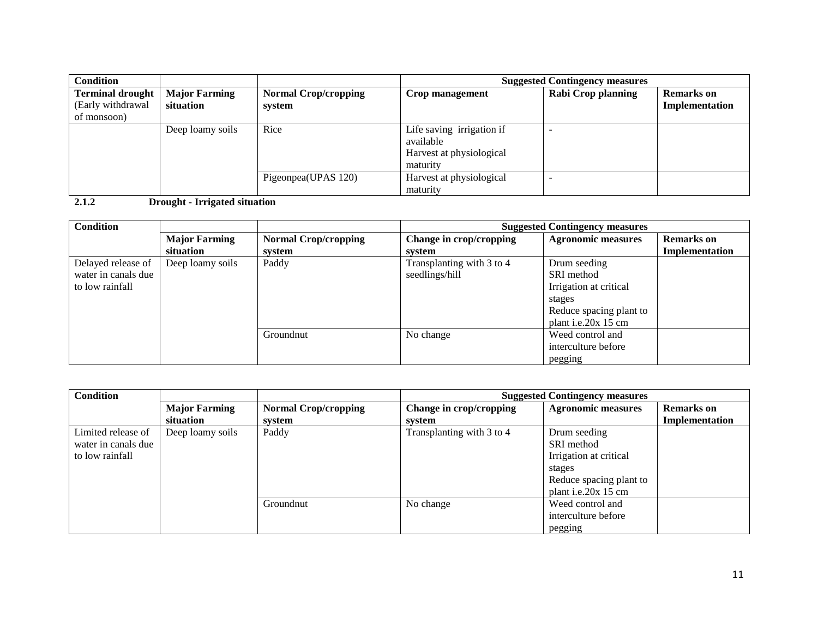| <b>Condition</b>                                            |                                   |                                       |                                                                                | <b>Suggested Contingency measures</b> |                                     |
|-------------------------------------------------------------|-----------------------------------|---------------------------------------|--------------------------------------------------------------------------------|---------------------------------------|-------------------------------------|
| <b>Terminal drought</b><br>(Early withdrawal<br>of monsoon) | <b>Major Farming</b><br>situation | <b>Normal Crop/cropping</b><br>system | Crop management                                                                | Rabi Crop planning                    | <b>Remarks</b> on<br>Implementation |
|                                                             | Deep loamy soils                  | Rice                                  | Life saving irrigation if<br>available<br>Harvest at physiological<br>maturity |                                       |                                     |
|                                                             |                                   | Pigeonpea(UPAS 120)                   | Harvest at physiological<br>maturity                                           |                                       |                                     |

**2.1.2 Drought - Irrigated situation**

| <b>Condition</b>    |                      |                             | <b>Suggested Contingency measures</b> |                           |                   |
|---------------------|----------------------|-----------------------------|---------------------------------------|---------------------------|-------------------|
|                     | <b>Major Farming</b> | <b>Normal Crop/cropping</b> | Change in crop/cropping               | <b>Agronomic measures</b> | <b>Remarks</b> on |
|                     | situation            | svstem                      | system                                |                           | Implementation    |
| Delayed release of  | Deep loamy soils     | Paddy                       | Transplanting with 3 to 4             | Drum seeding              |                   |
| water in canals due |                      |                             | seedlings/hill                        | SRI method                |                   |
| to low rainfall     |                      |                             |                                       | Irrigation at critical    |                   |
|                     |                      |                             |                                       | stages                    |                   |
|                     |                      |                             |                                       | Reduce spacing plant to   |                   |
|                     |                      |                             |                                       | plant i.e.20 $x$ 15 cm    |                   |
|                     |                      | Groundnut                   | No change                             | Weed control and          |                   |
|                     |                      |                             |                                       | interculture before       |                   |
|                     |                      |                             |                                       | pegging                   |                   |

| <b>Condition</b>    |                      |                             | <b>Suggested Contingency measures</b> |                           |                   |
|---------------------|----------------------|-----------------------------|---------------------------------------|---------------------------|-------------------|
|                     | <b>Major Farming</b> | <b>Normal Crop/cropping</b> | Change in crop/cropping               | <b>Agronomic measures</b> | <b>Remarks</b> on |
|                     | situation            | system                      | system                                |                           | Implementation    |
| Limited release of  | Deep loamy soils     | Paddy                       | Transplanting with 3 to 4             | Drum seeding              |                   |
| water in canals due |                      |                             |                                       | SRI method                |                   |
| to low rainfall     |                      |                             |                                       | Irrigation at critical    |                   |
|                     |                      |                             |                                       | stages                    |                   |
|                     |                      |                             |                                       | Reduce spacing plant to   |                   |
|                     |                      |                             |                                       | plant i.e.20 $x$ 15 cm    |                   |
|                     |                      | Groundnut                   | No change                             | Weed control and          |                   |
|                     |                      |                             |                                       | interculture before       |                   |
|                     |                      |                             |                                       | pegging                   |                   |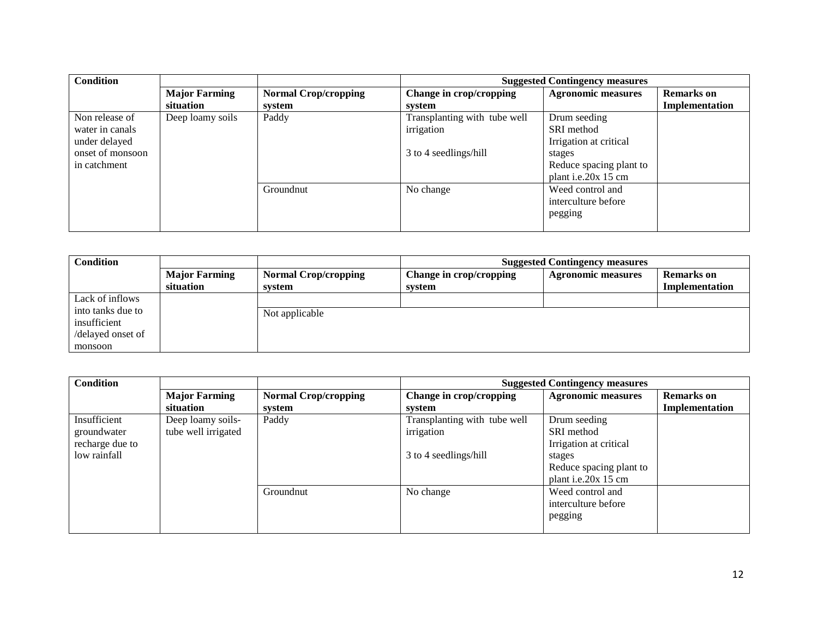| <b>Condition</b> |                      |                             | <b>Suggested Contingency measures</b> |                           |                   |
|------------------|----------------------|-----------------------------|---------------------------------------|---------------------------|-------------------|
|                  | <b>Major Farming</b> | <b>Normal Crop/cropping</b> | Change in crop/cropping               | <b>Agronomic measures</b> | <b>Remarks</b> on |
|                  | situation            | system                      | svstem                                |                           | Implementation    |
| Non release of   | Deep loamy soils     | Paddy                       | Transplanting with tube well          | Drum seeding              |                   |
| water in canals  |                      |                             | irrigation                            | SRI method                |                   |
| under delayed    |                      |                             |                                       | Irrigation at critical    |                   |
| onset of monsoon |                      |                             | 3 to 4 seedlings/hill                 | stages                    |                   |
| in catchment     |                      |                             |                                       | Reduce spacing plant to   |                   |
|                  |                      |                             |                                       | plant i.e.20x 15 cm       |                   |
|                  |                      | Groundnut                   | No change                             | Weed control and          |                   |
|                  |                      |                             |                                       | interculture before       |                   |
|                  |                      |                             |                                       | pegging                   |                   |
|                  |                      |                             |                                       |                           |                   |

| <b>Condition</b>  |                      |                             | <b>Suggested Contingency measures</b> |                           |                       |
|-------------------|----------------------|-----------------------------|---------------------------------------|---------------------------|-----------------------|
|                   | <b>Major Farming</b> | <b>Normal Crop/cropping</b> | Change in crop/cropping               | <b>Agronomic measures</b> | <b>Remarks</b> on     |
|                   | situation            | system                      | system                                |                           | <b>Implementation</b> |
| Lack of inflows   |                      |                             |                                       |                           |                       |
| into tanks due to |                      | Not applicable              |                                       |                           |                       |
| insufficient      |                      |                             |                                       |                           |                       |
| /delayed onset of |                      |                             |                                       |                           |                       |
| monsoon           |                      |                             |                                       |                           |                       |

| <b>Condition</b> |                      |                             | <b>Suggested Contingency measures</b> |                           |                   |
|------------------|----------------------|-----------------------------|---------------------------------------|---------------------------|-------------------|
|                  | <b>Major Farming</b> | <b>Normal Crop/cropping</b> | Change in crop/cropping               | <b>Agronomic measures</b> | <b>Remarks</b> on |
|                  | situation            | system                      | system                                |                           | Implementation    |
| Insufficient     | Deep loamy soils-    | Paddy                       | Transplanting with tube well          | Drum seeding              |                   |
| groundwater      | tube well irrigated  |                             | irrigation                            | SRI method                |                   |
| recharge due to  |                      |                             |                                       | Irrigation at critical    |                   |
| low rainfall     |                      |                             | 3 to 4 seedlings/hill                 | stages                    |                   |
|                  |                      |                             |                                       | Reduce spacing plant to   |                   |
|                  |                      |                             |                                       | plant i.e.20x 15 cm       |                   |
|                  |                      | Groundnut                   | No change                             | Weed control and          |                   |
|                  |                      |                             |                                       | interculture before       |                   |
|                  |                      |                             |                                       | pegging                   |                   |
|                  |                      |                             |                                       |                           |                   |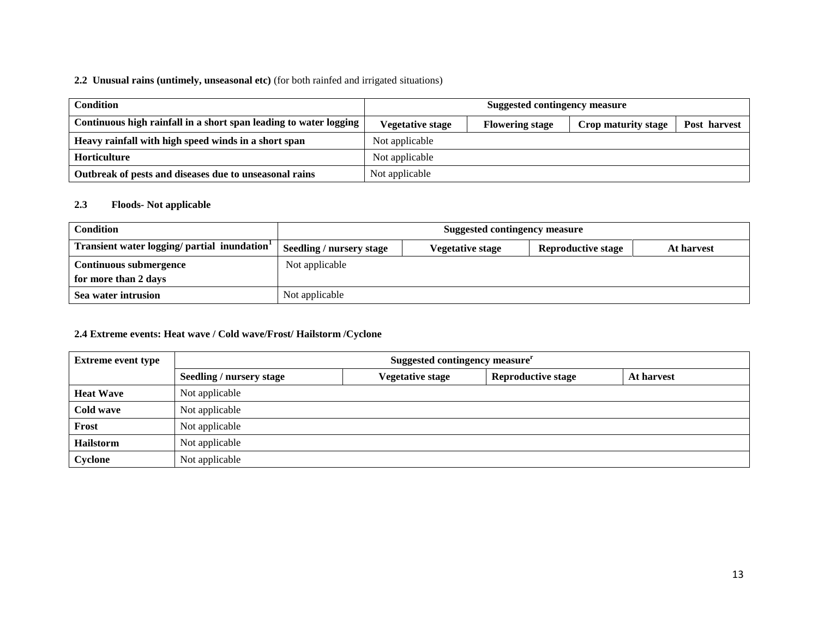#### **2.2 Unusual rains (untimely, unseasonal etc)** (for both rainfed and irrigated situations)

| <b>Condition</b>                                                  | <b>Suggested contingency measure</b> |                        |                     |              |  |
|-------------------------------------------------------------------|--------------------------------------|------------------------|---------------------|--------------|--|
| Continuous high rainfall in a short span leading to water logging | Vegetative stage                     | <b>Flowering stage</b> | Crop maturity stage | Post harvest |  |
| Heavy rainfall with high speed winds in a short span              | Not applicable                       |                        |                     |              |  |
| <b>Horticulture</b>                                               | Not applicable                       |                        |                     |              |  |
| Outbreak of pests and diseases due to unseasonal rains            | Not applicable                       |                        |                     |              |  |

#### **2.3 Floods- Not applicable**

| <b>Condition</b>                                         | Suggested contingency measure |                  |                           |            |  |
|----------------------------------------------------------|-------------------------------|------------------|---------------------------|------------|--|
| Transient water logging/ partial inundation <sup>1</sup> | Seedling / nursery stage      | Vegetative stage | <b>Reproductive stage</b> | At harvest |  |
| Continuous submergence                                   | Not applicable                |                  |                           |            |  |
| for more than 2 days                                     |                               |                  |                           |            |  |
| Sea water intrusion                                      | Not applicable                |                  |                           |            |  |

#### **2.4 Extreme events: Heat wave / Cold wave/Frost/ Hailstorm /Cyclone**

| <b>Extreme event type</b> | Suggested contingency measure <sup>r</sup> |                  |                           |            |  |  |
|---------------------------|--------------------------------------------|------------------|---------------------------|------------|--|--|
|                           | Seedling / nursery stage                   | Vegetative stage | <b>Reproductive stage</b> | At harvest |  |  |
| <b>Heat Wave</b>          | Not applicable                             |                  |                           |            |  |  |
| Cold wave                 | Not applicable                             |                  |                           |            |  |  |
| Frost                     | Not applicable                             |                  |                           |            |  |  |
| <b>Hailstorm</b>          | Not applicable                             |                  |                           |            |  |  |
| Cyclone                   | Not applicable                             |                  |                           |            |  |  |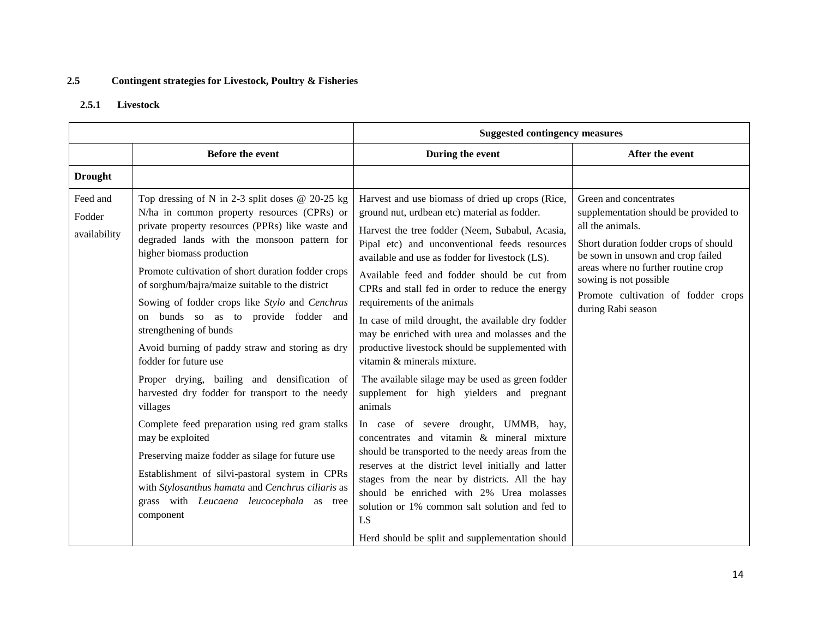## **2.5 Contingent strategies for Livestock, Poultry & Fisheries**

#### **2.5.1 Livestock**

|                                    |                                                                                                                                                                                                                                                                                                                                                                                                                                                                                                                                                                                                                                                                                                                                                                                                                                                                                                                                                    | <b>Suggested contingency measures</b>                                                                                                                                                                                                                                                                                                                                                                                                                                                                                                                                                                                                                                                                                                                                                                                                                                                                                                                                                                                                                     |                                                                                                                                                                                                                                                                                                 |
|------------------------------------|----------------------------------------------------------------------------------------------------------------------------------------------------------------------------------------------------------------------------------------------------------------------------------------------------------------------------------------------------------------------------------------------------------------------------------------------------------------------------------------------------------------------------------------------------------------------------------------------------------------------------------------------------------------------------------------------------------------------------------------------------------------------------------------------------------------------------------------------------------------------------------------------------------------------------------------------------|-----------------------------------------------------------------------------------------------------------------------------------------------------------------------------------------------------------------------------------------------------------------------------------------------------------------------------------------------------------------------------------------------------------------------------------------------------------------------------------------------------------------------------------------------------------------------------------------------------------------------------------------------------------------------------------------------------------------------------------------------------------------------------------------------------------------------------------------------------------------------------------------------------------------------------------------------------------------------------------------------------------------------------------------------------------|-------------------------------------------------------------------------------------------------------------------------------------------------------------------------------------------------------------------------------------------------------------------------------------------------|
|                                    | <b>Before the event</b>                                                                                                                                                                                                                                                                                                                                                                                                                                                                                                                                                                                                                                                                                                                                                                                                                                                                                                                            | During the event                                                                                                                                                                                                                                                                                                                                                                                                                                                                                                                                                                                                                                                                                                                                                                                                                                                                                                                                                                                                                                          | After the event                                                                                                                                                                                                                                                                                 |
| <b>Drought</b>                     |                                                                                                                                                                                                                                                                                                                                                                                                                                                                                                                                                                                                                                                                                                                                                                                                                                                                                                                                                    |                                                                                                                                                                                                                                                                                                                                                                                                                                                                                                                                                                                                                                                                                                                                                                                                                                                                                                                                                                                                                                                           |                                                                                                                                                                                                                                                                                                 |
| Feed and<br>Fodder<br>availability | Top dressing of N in 2-3 split doses $@$ 20-25 kg<br>N/ha in common property resources (CPRs) or<br>private property resources (PPRs) like waste and<br>degraded lands with the monsoon pattern for<br>higher biomass production<br>Promote cultivation of short duration fodder crops<br>of sorghum/bajra/maize suitable to the district<br>Sowing of fodder crops like Stylo and Cenchrus<br>on bunds so as to provide fodder and<br>strengthening of bunds<br>Avoid burning of paddy straw and storing as dry<br>fodder for future use<br>Proper drying, bailing and densification of<br>harvested dry fodder for transport to the needy<br>villages<br>Complete feed preparation using red gram stalks<br>may be exploited<br>Preserving maize fodder as silage for future use<br>Establishment of silvi-pastoral system in CPRs<br>with Stylosanthus hamata and Cenchrus ciliaris as<br>grass with Leucaena leucocephala as tree<br>component | Harvest and use biomass of dried up crops (Rice,<br>ground nut, urdbean etc) material as fodder.<br>Harvest the tree fodder (Neem, Subabul, Acasia,<br>Pipal etc) and unconventional feeds resources<br>available and use as fodder for livestock (LS).<br>Available feed and fodder should be cut from<br>CPRs and stall fed in order to reduce the energy<br>requirements of the animals<br>In case of mild drought, the available dry fodder<br>may be enriched with urea and molasses and the<br>productive livestock should be supplemented with<br>vitamin & minerals mixture.<br>The available silage may be used as green fodder<br>supplement for high yielders and pregnant<br>animals<br>In case of severe drought, UMMB, hay,<br>concentrates and vitamin & mineral mixture<br>should be transported to the needy areas from the<br>reserves at the district level initially and latter<br>stages from the near by districts. All the hay<br>should be enriched with 2% Urea molasses<br>solution or 1% common salt solution and fed to<br>LS | Green and concentrates<br>supplementation should be provided to<br>all the animals.<br>Short duration fodder crops of should<br>be sown in unsown and crop failed<br>areas where no further routine crop<br>sowing is not possible<br>Promote cultivation of fodder crops<br>during Rabi season |
|                                    |                                                                                                                                                                                                                                                                                                                                                                                                                                                                                                                                                                                                                                                                                                                                                                                                                                                                                                                                                    | Herd should be split and supplementation should                                                                                                                                                                                                                                                                                                                                                                                                                                                                                                                                                                                                                                                                                                                                                                                                                                                                                                                                                                                                           |                                                                                                                                                                                                                                                                                                 |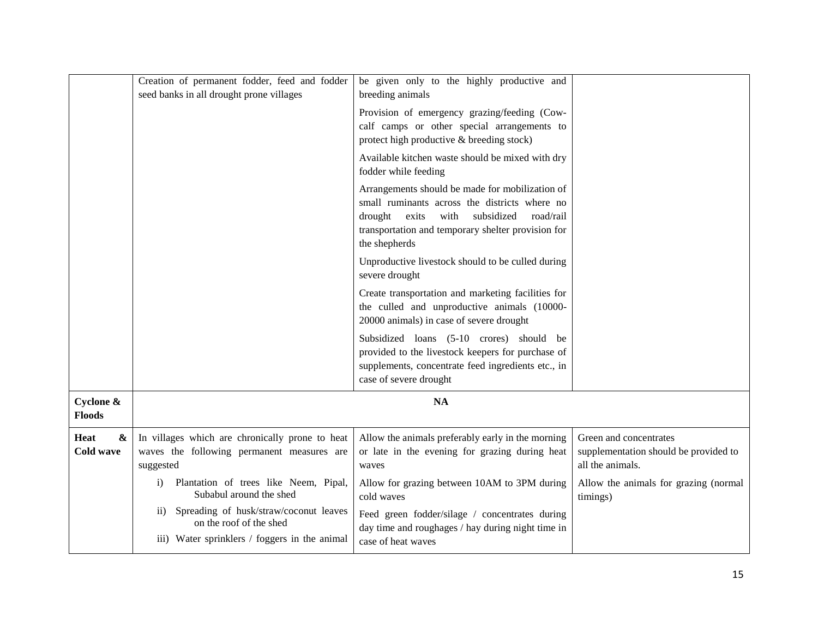|                                        | Creation of permanent fodder, feed and fodder<br>seed banks in all drought prone villages                                       | be given only to the highly productive and<br>breeding animals                                                                                                                                                                 |                                                                                     |
|----------------------------------------|---------------------------------------------------------------------------------------------------------------------------------|--------------------------------------------------------------------------------------------------------------------------------------------------------------------------------------------------------------------------------|-------------------------------------------------------------------------------------|
|                                        |                                                                                                                                 | Provision of emergency grazing/feeding (Cow-<br>calf camps or other special arrangements to<br>protect high productive & breeding stock)                                                                                       |                                                                                     |
|                                        |                                                                                                                                 | Available kitchen waste should be mixed with dry<br>fodder while feeding                                                                                                                                                       |                                                                                     |
|                                        |                                                                                                                                 | Arrangements should be made for mobilization of<br>small ruminants across the districts where no<br>drought<br>subsidized<br>road/rail<br>exits<br>with<br>transportation and temporary shelter provision for<br>the shepherds |                                                                                     |
|                                        |                                                                                                                                 | Unproductive livestock should to be culled during<br>severe drought                                                                                                                                                            |                                                                                     |
|                                        |                                                                                                                                 | Create transportation and marketing facilities for<br>the culled and unproductive animals (10000-<br>20000 animals) in case of severe drought                                                                                  |                                                                                     |
|                                        |                                                                                                                                 | Subsidized loans (5-10 crores) should be<br>provided to the livestock keepers for purchase of<br>supplements, concentrate feed ingredients etc., in<br>case of severe drought                                                  |                                                                                     |
| Cyclone &<br><b>Floods</b>             |                                                                                                                                 | <b>NA</b>                                                                                                                                                                                                                      |                                                                                     |
| $\boldsymbol{\&}$<br>Heat<br>Cold wave | In villages which are chronically prone to heat<br>waves the following permanent measures are<br>suggested                      | Allow the animals preferably early in the morning<br>or late in the evening for grazing during heat<br>waves                                                                                                                   | Green and concentrates<br>supplementation should be provided to<br>all the animals. |
|                                        | Plantation of trees like Neem, Pipal,<br>$\mathbf{i}$<br>Subabul around the shed                                                | Allow for grazing between 10AM to 3PM during<br>cold waves                                                                                                                                                                     | Allow the animals for grazing (normal<br>timings)                                   |
|                                        | Spreading of husk/straw/coconut leaves<br>$\rm ii)$<br>on the roof of the shed<br>iii) Water sprinklers / foggers in the animal | Feed green fodder/silage / concentrates during<br>day time and roughages / hay during night time in<br>case of heat waves                                                                                                      |                                                                                     |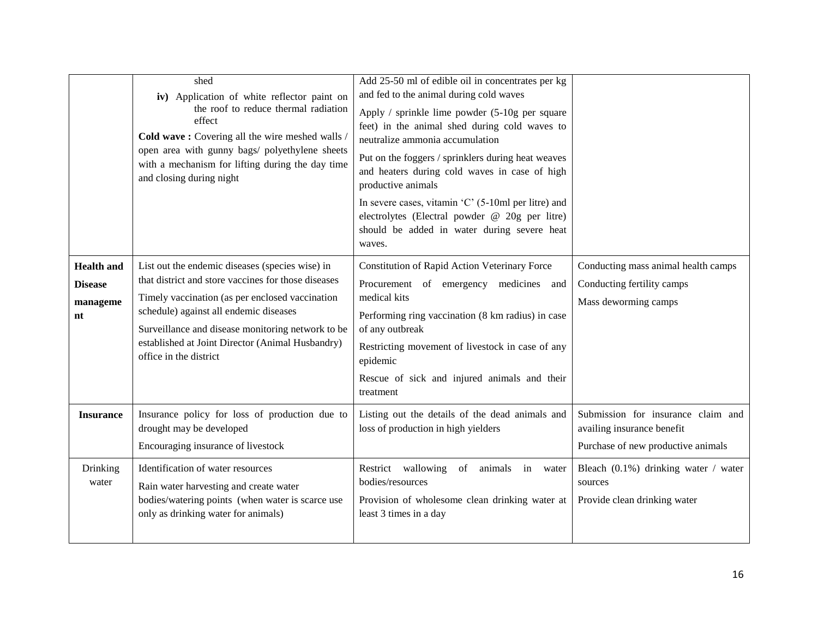|                                                       | shed                                                                                                                                                                                                                                                                                                                                   | Add 25-50 ml of edible oil in concentrates per kg                                                                                                                                                                                                                                                                                                                                                                                                     |                                                                                                        |
|-------------------------------------------------------|----------------------------------------------------------------------------------------------------------------------------------------------------------------------------------------------------------------------------------------------------------------------------------------------------------------------------------------|-------------------------------------------------------------------------------------------------------------------------------------------------------------------------------------------------------------------------------------------------------------------------------------------------------------------------------------------------------------------------------------------------------------------------------------------------------|--------------------------------------------------------------------------------------------------------|
|                                                       | iv) Application of white reflector paint on                                                                                                                                                                                                                                                                                            | and fed to the animal during cold waves                                                                                                                                                                                                                                                                                                                                                                                                               |                                                                                                        |
|                                                       | the roof to reduce thermal radiation<br>effect<br>Cold wave: Covering all the wire meshed walls /<br>open area with gunny bags/ polyethylene sheets<br>with a mechanism for lifting during the day time<br>and closing during night                                                                                                    | Apply / sprinkle lime powder (5-10g per square<br>feet) in the animal shed during cold waves to<br>neutralize ammonia accumulation<br>Put on the foggers / sprinklers during heat weaves<br>and heaters during cold waves in case of high<br>productive animals<br>In severe cases, vitamin $^{\circ}$ C $^{\circ}$ (5-10ml per litre) and<br>electrolytes (Electral powder @ 20g per litre)<br>should be added in water during severe heat<br>waves. |                                                                                                        |
| <b>Health</b> and<br><b>Disease</b><br>manageme<br>nt | List out the endemic diseases (species wise) in<br>that district and store vaccines for those diseases<br>Timely vaccination (as per enclosed vaccination<br>schedule) against all endemic diseases<br>Surveillance and disease monitoring network to be<br>established at Joint Director (Animal Husbandry)<br>office in the district | <b>Constitution of Rapid Action Veterinary Force</b><br>Procurement of emergency medicines and<br>medical kits<br>Performing ring vaccination (8 km radius) in case<br>of any outbreak<br>Restricting movement of livestock in case of any<br>epidemic<br>Rescue of sick and injured animals and their<br>treatment                                                                                                                                   | Conducting mass animal health camps<br>Conducting fertility camps<br>Mass deworming camps              |
| <b>Insurance</b>                                      | Insurance policy for loss of production due to<br>drought may be developed<br>Encouraging insurance of livestock                                                                                                                                                                                                                       | Listing out the details of the dead animals and<br>loss of production in high yielders                                                                                                                                                                                                                                                                                                                                                                | Submission for insurance claim and<br>availing insurance benefit<br>Purchase of new productive animals |
| Drinking<br>water                                     | Identification of water resources<br>Rain water harvesting and create water<br>bodies/watering points (when water is scarce use<br>only as drinking water for animals)                                                                                                                                                                 | Restrict wallowing<br>of animals<br>in<br>water<br>bodies/resources<br>Provision of wholesome clean drinking water at<br>least 3 times in a day                                                                                                                                                                                                                                                                                                       | Bleach (0.1%) drinking water / water<br>sources<br>Provide clean drinking water                        |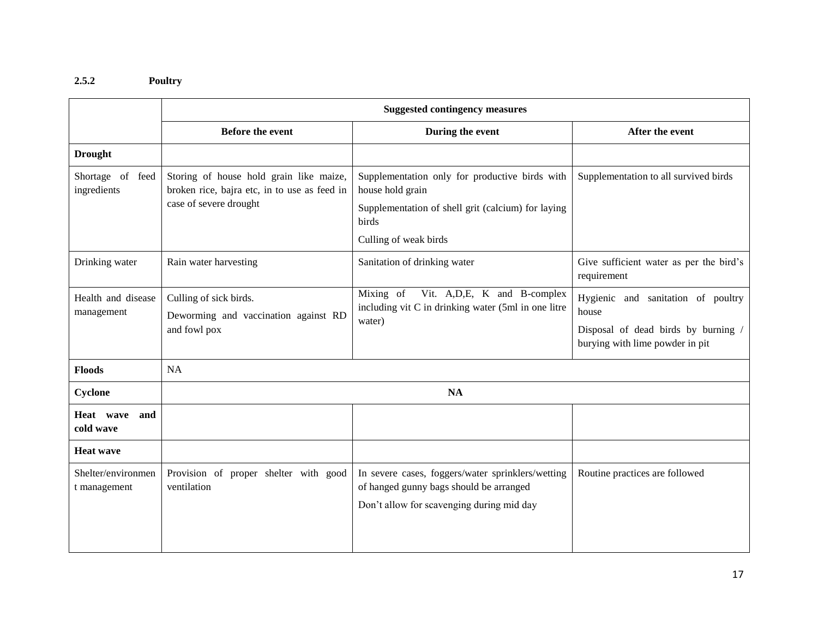### **2.5.2 Poultry**

|                                    | <b>Suggested contingency measures</b>                                                                             |                                                                                                                                                            |                                                                                                                       |
|------------------------------------|-------------------------------------------------------------------------------------------------------------------|------------------------------------------------------------------------------------------------------------------------------------------------------------|-----------------------------------------------------------------------------------------------------------------------|
|                                    | <b>Before the event</b>                                                                                           | During the event                                                                                                                                           | After the event                                                                                                       |
| <b>Drought</b>                     |                                                                                                                   |                                                                                                                                                            |                                                                                                                       |
| Shortage of feed<br>ingredients    | Storing of house hold grain like maize,<br>broken rice, bajra etc, in to use as feed in<br>case of severe drought | Supplementation only for productive birds with<br>house hold grain<br>Supplementation of shell grit (calcium) for laying<br>birds<br>Culling of weak birds | Supplementation to all survived birds                                                                                 |
| Drinking water                     | Rain water harvesting                                                                                             | Sanitation of drinking water                                                                                                                               | Give sufficient water as per the bird's<br>requirement                                                                |
| Health and disease<br>management   | Culling of sick birds.<br>Deworming and vaccination against RD<br>and fowl pox                                    | Mixing of<br>Vit. A, D, E, K and B-complex<br>including vit C in drinking water (5ml in one litre<br>water)                                                | Hygienic and sanitation of poultry<br>house<br>Disposal of dead birds by burning /<br>burying with lime powder in pit |
| <b>Floods</b>                      | NA                                                                                                                |                                                                                                                                                            |                                                                                                                       |
| <b>Cyclone</b>                     | <b>NA</b>                                                                                                         |                                                                                                                                                            |                                                                                                                       |
| Heat wave<br>and<br>cold wave      |                                                                                                                   |                                                                                                                                                            |                                                                                                                       |
| <b>Heat wave</b>                   |                                                                                                                   |                                                                                                                                                            |                                                                                                                       |
| Shelter/environmen<br>t management | Provision of proper shelter with good<br>ventilation                                                              | In severe cases, foggers/water sprinklers/wetting<br>of hanged gunny bags should be arranged<br>Don't allow for scavenging during mid day                  | Routine practices are followed                                                                                        |